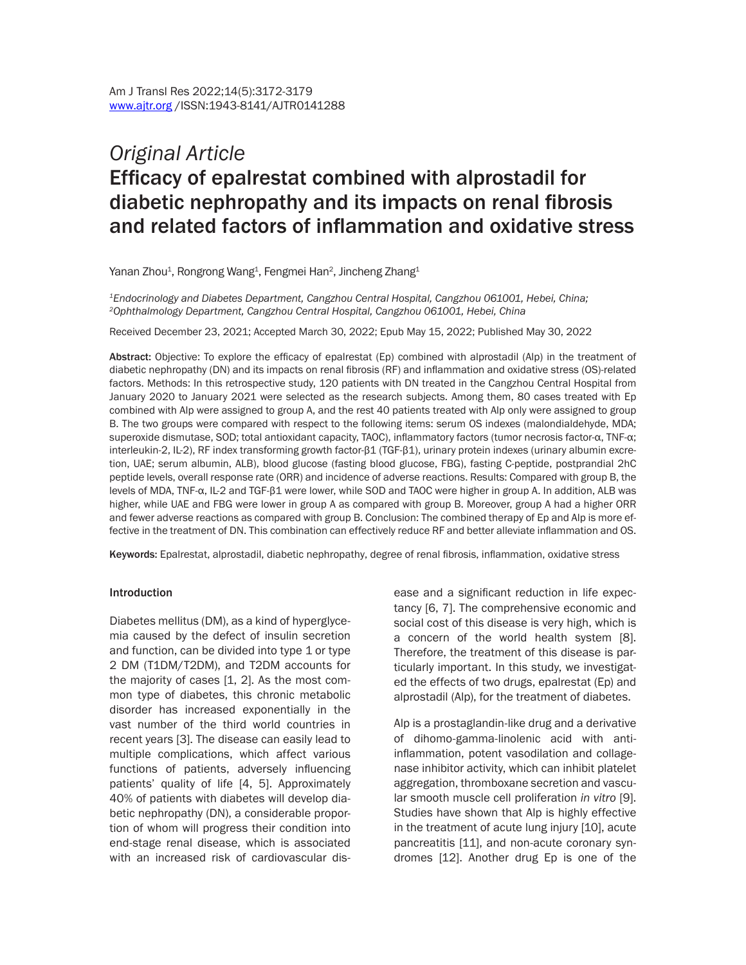# *Original Article* Efficacy of epalrestat combined with alprostadil for diabetic nephropathy and its impacts on renal fibrosis and related factors of inflammation and oxidative stress

Yanan Zhou $^{\rm 1}$ , Rongrong Wang $^{\rm 1}$ , Fengmei Han $^{\rm 2}$ , Jincheng Zhang $^{\rm 1}$ 

*1Endocrinology and Diabetes Department, Cangzhou Central Hospital, Cangzhou 061001, Hebei, China; 2Ophthalmology Department, Cangzhou Central Hospital, Cangzhou 061001, Hebei, China*

Received December 23, 2021; Accepted March 30, 2022; Epub May 15, 2022; Published May 30, 2022

Abstract: Objective: To explore the efficacy of epalrestat (Ep) combined with alprostadil (Alp) in the treatment of diabetic nephropathy (DN) and its impacts on renal fibrosis (RF) and inflammation and oxidative stress (OS)-related factors. Methods: In this retrospective study, 120 patients with DN treated in the Cangzhou Central Hospital from January 2020 to January 2021 were selected as the research subjects. Among them, 80 cases treated with Ep combined with Alp were assigned to group A, and the rest 40 patients treated with Alp only were assigned to group B. The two groups were compared with respect to the following items: serum OS indexes (malondialdehyde, MDA; superoxide dismutase, SOD; total antioxidant capacity, TAOC), inflammatory factors (tumor necrosis factor-α, TNF-α; interleukin-2, IL-2), RF index transforming growth factor-β1 (TGF-β1), urinary protein indexes (urinary albumin excretion, UAE; serum albumin, ALB), blood glucose (fasting blood glucose, FBG), fasting C-peptide, postprandial 2hC peptide levels, overall response rate (ORR) and incidence of adverse reactions. Results: Compared with group B, the levels of MDA, TNF-α, IL-2 and TGF-β1 were lower, while SOD and TAOC were higher in group A. In addition, ALB was higher, while UAE and FBG were lower in group A as compared with group B. Moreover, group A had a higher ORR and fewer adverse reactions as compared with group B. Conclusion: The combined therapy of Ep and Alp is more effective in the treatment of DN. This combination can effectively reduce RF and better alleviate inflammation and OS.

Keywords: Epalrestat, alprostadil, diabetic nephropathy, degree of renal fibrosis, inflammation, oxidative stress

#### **Introduction**

Diabetes mellitus (DM), as a kind of hyperglycemia caused by the defect of insulin secretion and function, can be divided into type 1 or type 2 DM (T1DM/T2DM), and T2DM accounts for the majority of cases [1, 2]. As the most common type of diabetes, this chronic metabolic disorder has increased exponentially in the vast number of the third world countries in recent years [3]. The disease can easily lead to multiple complications, which affect various functions of patients, adversely influencing patients' quality of life [4, 5]. Approximately 40% of patients with diabetes will develop diabetic nephropathy (DN), a considerable proportion of whom will progress their condition into end-stage renal disease, which is associated with an increased risk of cardiovascular disease and a significant reduction in life expectancy [6, 7]. The comprehensive economic and social cost of this disease is very high, which is a concern of the world health system [8]. Therefore, the treatment of this disease is particularly important. In this study, we investigated the effects of two drugs, epalrestat (Ep) and alprostadil (Alp), for the treatment of diabetes.

Alp is a prostaglandin-like drug and a derivative of dihomo-gamma-linolenic acid with antiinflammation, potent vasodilation and collagenase inhibitor activity, which can inhibit platelet aggregation, thromboxane secretion and vascular smooth muscle cell proliferation *in vitro* [9]. Studies have shown that Alp is highly effective in the treatment of acute lung injury [10], acute pancreatitis [11], and non-acute coronary syndromes [12]. Another drug Ep is one of the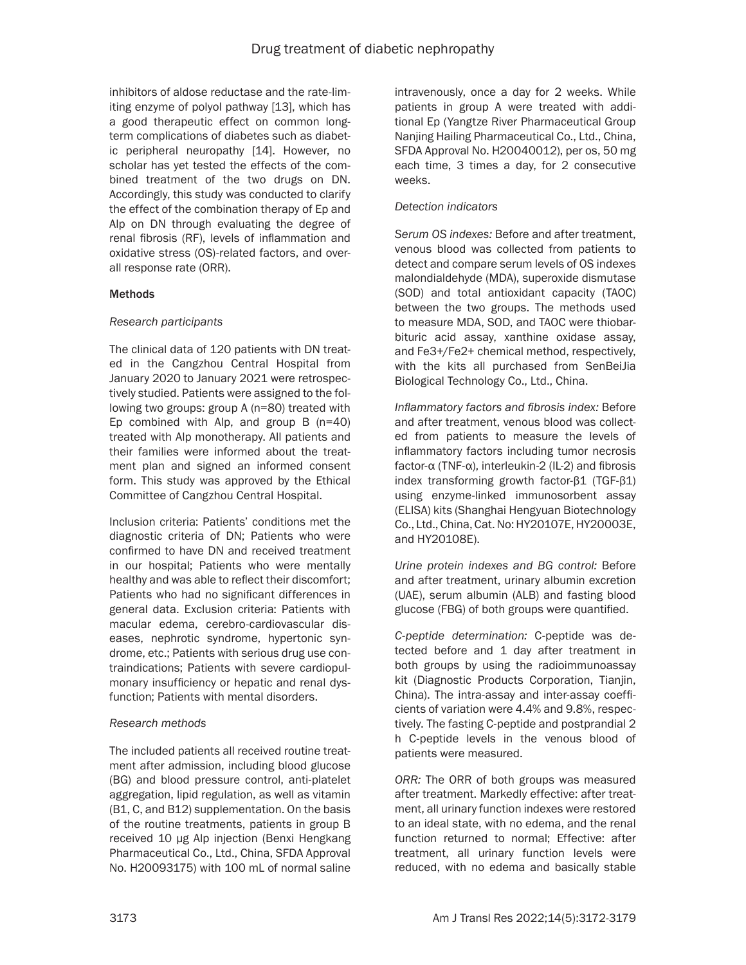inhibitors of aldose reductase and the rate-limiting enzyme of polyol pathway [13], which has a good therapeutic effect on common longterm complications of diabetes such as diabetic peripheral neuropathy [14]. However, no scholar has yet tested the effects of the combined treatment of the two drugs on DN. Accordingly, this study was conducted to clarify the effect of the combination therapy of Ep and Alp on DN through evaluating the degree of renal fibrosis (RF), levels of inflammation and oxidative stress (OS)-related factors, and overall response rate (ORR).

# **Methods**

# *Research participants*

The clinical data of 120 patients with DN treated in the Cangzhou Central Hospital from January 2020 to January 2021 were retrospectively studied. Patients were assigned to the following two groups: group A (n=80) treated with Ep combined with Alp, and group B (n=40) treated with Alp monotherapy. All patients and their families were informed about the treatment plan and signed an informed consent form. This study was approved by the Ethical Committee of Cangzhou Central Hospital.

Inclusion criteria: Patients' conditions met the diagnostic criteria of DN; Patients who were confirmed to have DN and received treatment in our hospital; Patients who were mentally healthy and was able to reflect their discomfort; Patients who had no significant differences in general data. Exclusion criteria: Patients with macular edema, cerebro-cardiovascular diseases, nephrotic syndrome, hypertonic syndrome, etc.; Patients with serious drug use contraindications; Patients with severe cardiopulmonary insufficiency or hepatic and renal dysfunction; Patients with mental disorders.

# *Research methods*

The included patients all received routine treatment after admission, including blood glucose (BG) and blood pressure control, anti-platelet aggregation, lipid regulation, as well as vitamin (B1, C, and B12) supplementation. On the basis of the routine treatments, patients in group B received 10 μg Alp injection (Benxi Hengkang Pharmaceutical Co., Ltd., China, SFDA Approval No. H20093175) with 100 mL of normal saline

intravenously, once a day for 2 weeks. While patients in group A were treated with additional Ep (Yangtze River Pharmaceutical Group Nanjing Hailing Pharmaceutical Co., Ltd., China, SFDA Approval No. H20040012), per os, 50 mg each time, 3 times a day, for 2 consecutive weeks.

# *Detection indicators*

*Serum OS indexes:* Before and after treatment, venous blood was collected from patients to detect and compare serum levels of OS indexes malondialdehyde (MDA), superoxide dismutase (SOD) and total antioxidant capacity (TAOC) between the two groups. The methods used to measure MDA, SOD, and TAOC were thiobarbituric acid assay, xanthine oxidase assay, and Fe3+/Fe2+ chemical method, respectively, with the kits all purchased from SenBeiJia Biological Technology Co., Ltd., China.

*Inflammatory factors and fibrosis index:* Before and after treatment, venous blood was collected from patients to measure the levels of inflammatory factors including tumor necrosis factor-α (TNF-α), interleukin-2 (IL-2) and fibrosis index transforming growth factor-β1 (TGF-β1) using enzyme-linked immunosorbent assay (ELISA) kits (Shanghai Hengyuan Biotechnology Co., Ltd., China, Cat. No: HY20107E, HY20003E, and HY20108E).

*Urine protein indexes and BG control:* Before and after treatment, urinary albumin excretion (UAE), serum albumin (ALB) and fasting blood glucose (FBG) of both groups were quantified.

*C-peptide determination:* C-peptide was detected before and 1 day after treatment in both groups by using the radioimmunoassay kit (Diagnostic Products Corporation, Tianjin, China). The intra-assay and inter-assay coefficients of variation were 4.4% and 9.8%, respectively. The fasting C-peptide and postprandial 2 h C-peptide levels in the venous blood of patients were measured.

*ORR:* The ORR of both groups was measured after treatment. Markedly effective: after treatment, all urinary function indexes were restored to an ideal state, with no edema, and the renal function returned to normal; Effective: after treatment, all urinary function levels were reduced, with no edema and basically stable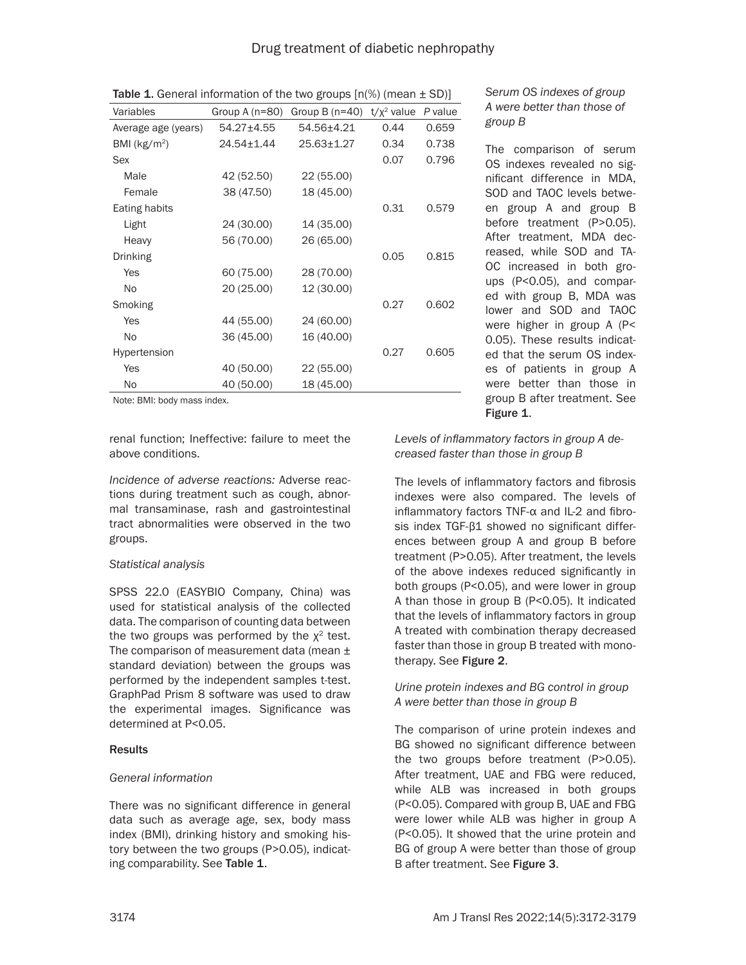| Variables           | Group A (n=80) | Group B $(n=40)$ | $t/x^2$ value | P value |
|---------------------|----------------|------------------|---------------|---------|
| Average age (years) | 54.27±4.55     | 54.56±4.21       | 0.44          | 0.659   |
| BMI ( $kg/m2$ )     | 24.54±1.44     | 25.63±1.27       | 0.34          | 0.738   |
| Sex                 |                |                  | 0.07          | 0.796   |
| Male                | 42 (52.50)     | 22 (55.00)       |               |         |
| Female              | 38 (47.50)     | 18 (45.00)       |               |         |
| Eating habits       |                |                  | 0.31          | 0.579   |
| Light               | 24 (30.00)     | 14 (35.00)       |               |         |
| Heavy               | 56 (70.00)     | 26 (65.00)       |               |         |
| Drinking            |                |                  | 0.05          | 0.815   |
| Yes                 | 60 (75.00)     | 28 (70.00)       |               |         |
| No.                 | 20 (25.00)     | 12 (30.00)       |               |         |
| Smoking             |                |                  | 0.27          | 0.602   |
| Yes                 | 44 (55.00)     | 24 (60.00)       |               |         |
| No.                 | 36 (45.00)     | 16 (40.00)       |               |         |
| Hypertension        |                |                  | 0.27          | 0.605   |
| Yes                 | 40 (50.00)     | 22 (55.00)       |               |         |
| No.                 | 40 (50.00)     | 18 (45.00)       |               |         |
|                     |                |                  |               |         |

**Table 1.** General information of the two groups  $[n(\%)$  (mean  $\pm$  SD)]

Note: BMI: body mass index.

renal function; Ineffective: failure to meet the above conditions.

*Incidence of adverse reactions:* Adverse reactions during treatment such as cough, abnormal transaminase, rash and gastrointestinal tract abnormalities were observed in the two groups.

## *Statistical analysis*

SPSS 22.0 (EASYBIO Company, China) was used for statistical analysis of the collected data. The comparison of counting data between the two groups was performed by the  $x^2$  test. The comparison of measurement data (mean  $\pm$ standard deviation) between the groups was performed by the independent samples t-test. GraphPad Prism 8 software was used to draw the experimental images. Significance was determined at P<0.05.

## **Results**

# *General information*

There was no significant difference in general data such as average age, sex, body mass index (BMI), drinking history and smoking history between the two groups (P>0.05), indicating comparability. See Table 1.

# *Serum OS indexes of group A were better than those of group B*

The comparison of serum OS indexes revealed no significant difference in MDA, SOD and TAOC levels between group A and group B before treatment (P>0.05). After treatment, MDA decreased, while SOD and TA-OC increased in both groups (P<0.05), and compared with group B, MDA was lower and SOD and TAOC were higher in group A (P< 0.05). These results indicated that the serum OS indexes of patients in group A were better than those in group B after treatment. See Figure 1.

*Levels of inflammatory factors in group A decreased faster than those in group B*

The levels of inflammatory factors and fibrosis indexes were also compared. The levels of inflammatory factors TNF-α and IL-2 and fibrosis index TGF-β1 showed no significant differences between group A and group B before treatment (P>0.05). After treatment, the levels of the above indexes reduced significantly in both groups (P<0.05), and were lower in group A than those in group B (P<0.05). It indicated that the levels of inflammatory factors in group A treated with combination therapy decreased faster than those in group B treated with monotherapy. See Figure 2.

# *Urine protein indexes and BG control in group A were better than those in group B*

The comparison of urine protein indexes and BG showed no significant difference between the two groups before treatment (P>0.05). After treatment, UAE and FBG were reduced, while ALB was increased in both groups (P<0.05). Compared with group B, UAE and FBG were lower while ALB was higher in group A (P<0.05). It showed that the urine protein and BG of group A were better than those of group B after treatment. See Figure 3.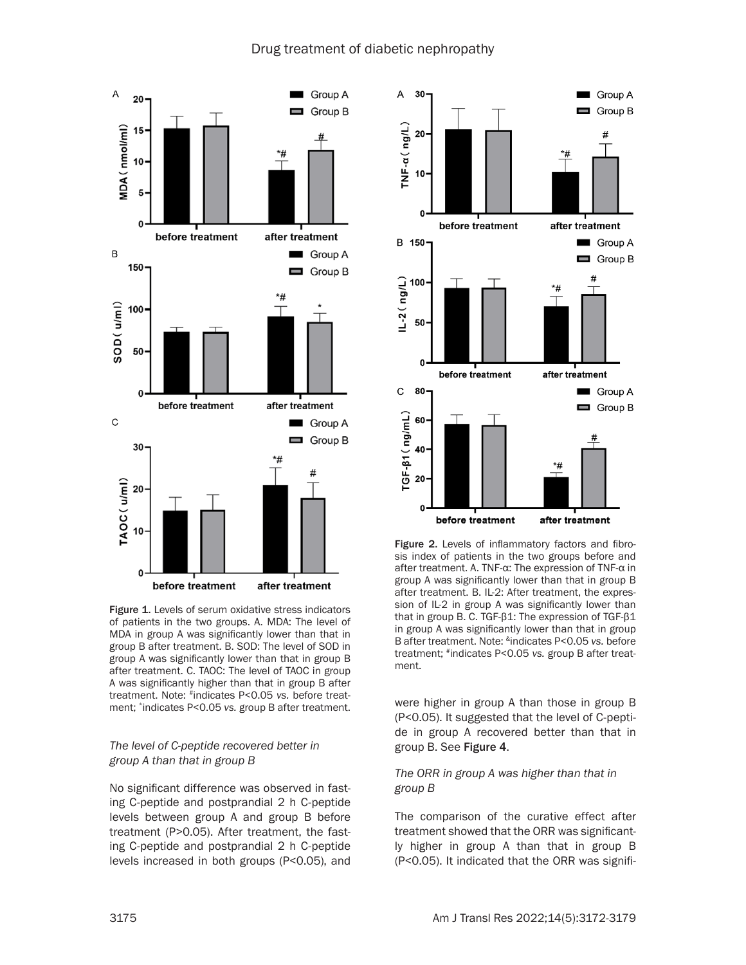# Drug treatment of diabetic nephropathy



Figure 1. Levels of serum oxidative stress indicators of patients in the two groups. A. MDA: The level of MDA in group A was significantly lower than that in group B after treatment. B. SOD: The level of SOD in group A was significantly lower than that in group B after treatment. C. TAOC: The level of TAOC in group A was significantly higher than that in group B after treatment. Note: #indicates P<0.05 *vs.* before treatment; \*indicates P<0.05 *vs.* group B after treatment.

## *The level of C-peptide recovered better in group A than that in group B*

No significant difference was observed in fasting C-peptide and postprandial 2 h C-peptide levels between group A and group B before treatment (P>0.05). After treatment, the fasting C-peptide and postprandial 2 h C-peptide levels increased in both groups (P<0.05), and



Figure 2. Levels of inflammatory factors and fibrosis index of patients in the two groups before and after treatment. A. TNF-α: The expression of TNF-α in group A was significantly lower than that in group B after treatment. B. IL-2: After treatment, the expression of IL-2 in group A was significantly lower than that in group B. C. TGF-β1: The expression of TGF-β1 in group A was significantly lower than that in group B after treatment. Note: &indicates P<0.05 *vs.* before treatment; #indicates P<0.05 *vs.* group B after treatment.

were higher in group A than those in group B (P<0.05). It suggested that the level of C-peptide in group A recovered better than that in group B. See Figure 4.

# *The ORR in group A was higher than that in group B*

The comparison of the curative effect after treatment showed that the ORR was significantly higher in group A than that in group B (P<0.05). It indicated that the ORR was signifi-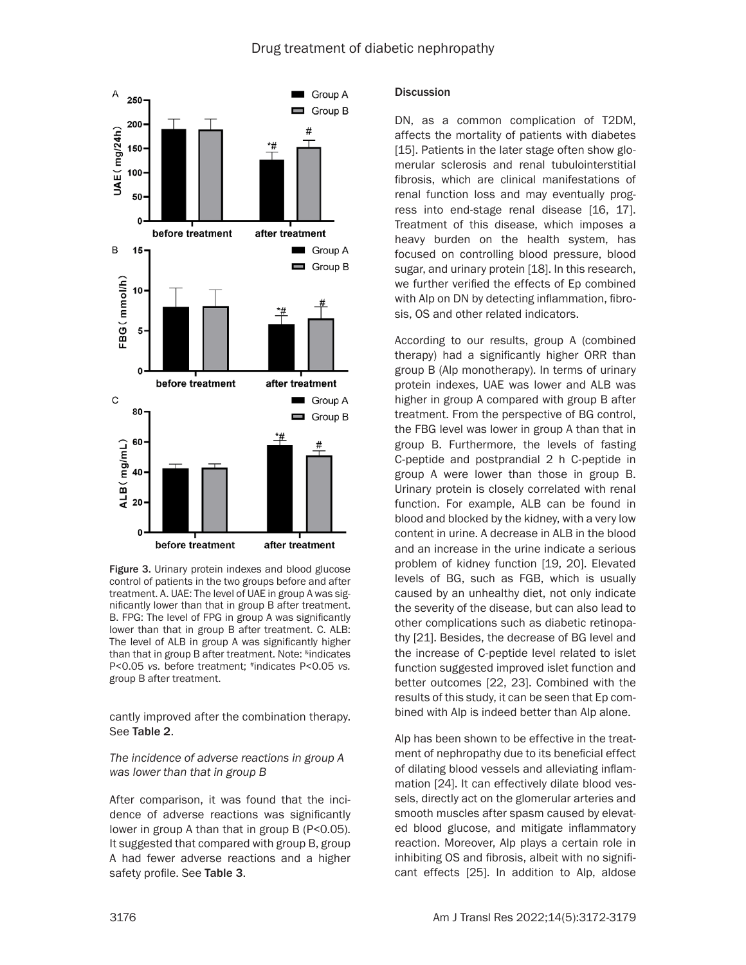

Figure 3. Urinary protein indexes and blood glucose control of patients in the two groups before and after treatment. A. UAE: The level of UAE in group A was significantly lower than that in group B after treatment. B. FPG: The level of FPG in group A was significantly lower than that in group B after treatment. C. ALB: The level of ALB in group A was significantly higher than that in group B after treatment. Note: <sup>&</sup>indicates P<0.05 *vs.* before treatment; #indicates P<0.05 *vs.* group B after treatment.

cantly improved after the combination therapy. See Table 2.

## *The incidence of adverse reactions in group A was lower than that in group B*

After comparison, it was found that the incidence of adverse reactions was significantly lower in group A than that in group B (P<0.05). It suggested that compared with group B, group A had fewer adverse reactions and a higher safety profile. See Table 3.

## **Discussion**

DN, as a common complication of T2DM, affects the mortality of patients with diabetes [15]. Patients in the later stage often show glomerular sclerosis and renal tubulointerstitial fibrosis, which are clinical manifestations of renal function loss and may eventually progress into end-stage renal disease [16, 17]. Treatment of this disease, which imposes a heavy burden on the health system, has focused on controlling blood pressure, blood sugar, and urinary protein [18]. In this research, we further verified the effects of Ep combined with Alp on DN by detecting inflammation, fibrosis, OS and other related indicators.

According to our results, group A (combined therapy) had a significantly higher ORR than group B (Alp monotherapy). In terms of urinary protein indexes, UAE was lower and ALB was higher in group A compared with group B after treatment. From the perspective of BG control, the FBG level was lower in group A than that in group B. Furthermore, the levels of fasting C-peptide and postprandial 2 h C-peptide in group A were lower than those in group B. Urinary protein is closely correlated with renal function. For example, ALB can be found in blood and blocked by the kidney, with a very low content in urine. A decrease in ALB in the blood and an increase in the urine indicate a serious problem of kidney function [19, 20]. Elevated levels of BG, such as FGB, which is usually caused by an unhealthy diet, not only indicate the severity of the disease, but can also lead to other complications such as diabetic retinopathy [21]. Besides, the decrease of BG level and the increase of C-peptide level related to islet function suggested improved islet function and better outcomes [22, 23]. Combined with the results of this study, it can be seen that Ep combined with Alp is indeed better than Alp alone.

Alp has been shown to be effective in the treatment of nephropathy due to its beneficial effect of dilating blood vessels and alleviating inflammation [24]. It can effectively dilate blood vessels, directly act on the glomerular arteries and smooth muscles after spasm caused by elevated blood glucose, and mitigate inflammatory reaction. Moreover, Alp plays a certain role in inhibiting OS and fibrosis, albeit with no significant effects [25]. In addition to Alp, aldose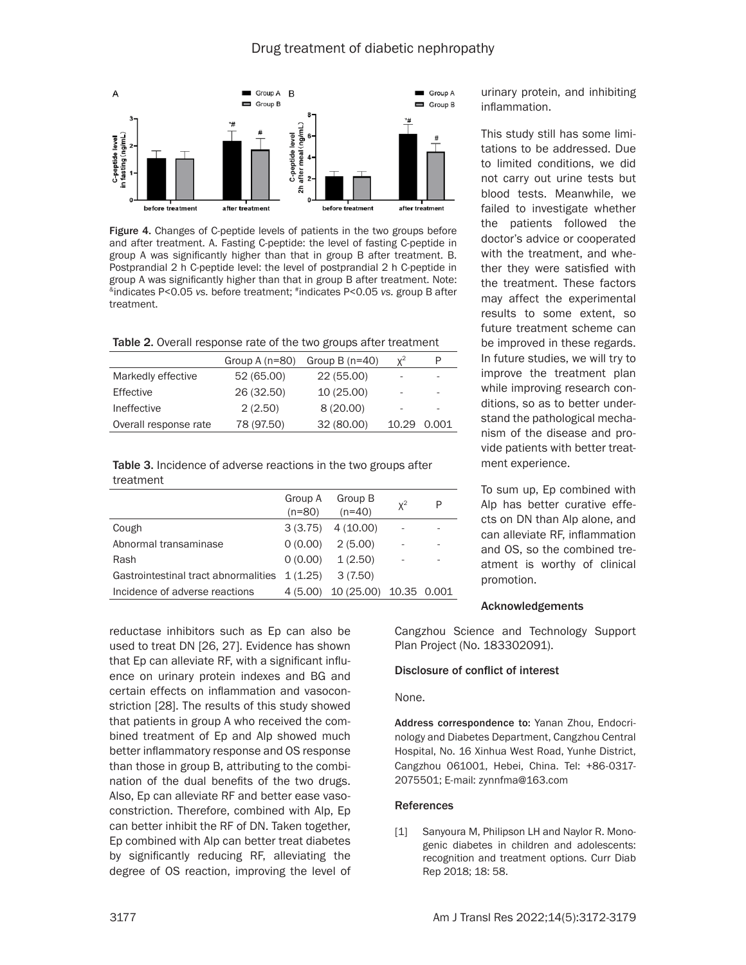

Figure 4. Changes of C-peptide levels of patients in the two groups before and after treatment. A. Fasting C-peptide: the level of fasting C-peptide in group A was significantly higher than that in group B after treatment. B. Postprandial 2 h C-peptide level: the level of postprandial 2 h C-peptide in group A was significantly higher than that in group B after treatment. Note: &indicates P<0.05 *vs.* before treatment; #indicates P<0.05 *vs.* group B after treatment.

| Table 2. Overall response rate of the two groups after treatment |  |  |
|------------------------------------------------------------------|--|--|
|------------------------------------------------------------------|--|--|

|                       | Group A $(n=80)$ | Group $B(n=40)$ | $x^2$                    |                          |
|-----------------------|------------------|-----------------|--------------------------|--------------------------|
| Markedly effective    | 52 (65.00)       | 22 (55.00)      | $\overline{\phantom{a}}$ | $\overline{\phantom{a}}$ |
| Effective             | 26 (32.50)       | 10 (25.00)      | $\overline{\phantom{a}}$ |                          |
| Ineffective           | 2(2.50)          | 8(20.00)        |                          |                          |
| Overall response rate | 78 (97.50)       | 32 (80.00)      | 10.29                    | 0.001                    |

Table 3. Incidence of adverse reactions in the two groups after treatment

|                                      | Group A<br>$(n=80)$ | Group B<br>$(n=40)$ | $x^2$       | P |
|--------------------------------------|---------------------|---------------------|-------------|---|
| Cough                                | 3(3.75)             | 4(10.00)            |             |   |
| Abnormal transaminase                | 0(0.00)             | 2(5.00)             | ۰           |   |
| Rash                                 | 0(0.00)             | 1(2.50)             |             | - |
| Gastrointestinal tract abnormalities | 1(1.25)             | 3(7.50)             |             |   |
| Incidence of adverse reactions       | 4(5.00)             | 10 (25.00)          | 10.35 0.001 |   |

reductase inhibitors such as Ep can also be used to treat DN [26, 27]. Evidence has shown that Ep can alleviate RF, with a significant influence on urinary protein indexes and BG and certain effects on inflammation and vasoconstriction [28]. The results of this study showed that patients in group A who received the combined treatment of Ep and Alp showed much better inflammatory response and OS response than those in group B, attributing to the combination of the dual benefits of the two drugs. Also, Ep can alleviate RF and better ease vasoconstriction. Therefore, combined with Alp, Ep can better inhibit the RF of DN. Taken together, Ep combined with Alp can better treat diabetes by significantly reducing RF, alleviating the degree of OS reaction, improving the level of

urinary protein, and inhibiting inflammation.

This study still has some limitations to be addressed. Due to limited conditions, we did not carry out urine tests but blood tests. Meanwhile, we failed to investigate whether the patients followed the doctor's advice or cooperated with the treatment, and whether they were satisfied with the treatment. These factors may affect the experimental results to some extent, so future treatment scheme can be improved in these regards. In future studies, we will try to improve the treatment plan while improving research conditions, so as to better understand the pathological mechanism of the disease and provide patients with better treatment experience.

To sum up, Ep combined with Alp has better curative effects on DN than Alp alone, and can alleviate RF, inflammation and OS, so the combined treatment is worthy of clinical promotion.

#### Acknowledgements

Cangzhou Science and Technology Support Plan Project (No. 183302091).

#### Disclosure of conflict of interest

None.

Address correspondence to: Yanan Zhou, Endocrinology and Diabetes Department, Cangzhou Central Hospital, No. 16 Xinhua West Road, Yunhe District, Cangzhou 061001, Hebei, China. Tel: +86-0317- 2075501; E-mail: zynnfma@163.com

#### References

[1] Sanyoura M, Philipson LH and Naylor R. Monogenic diabetes in children and adolescents: recognition and treatment options. Curr Diab Rep 2018; 18: 58.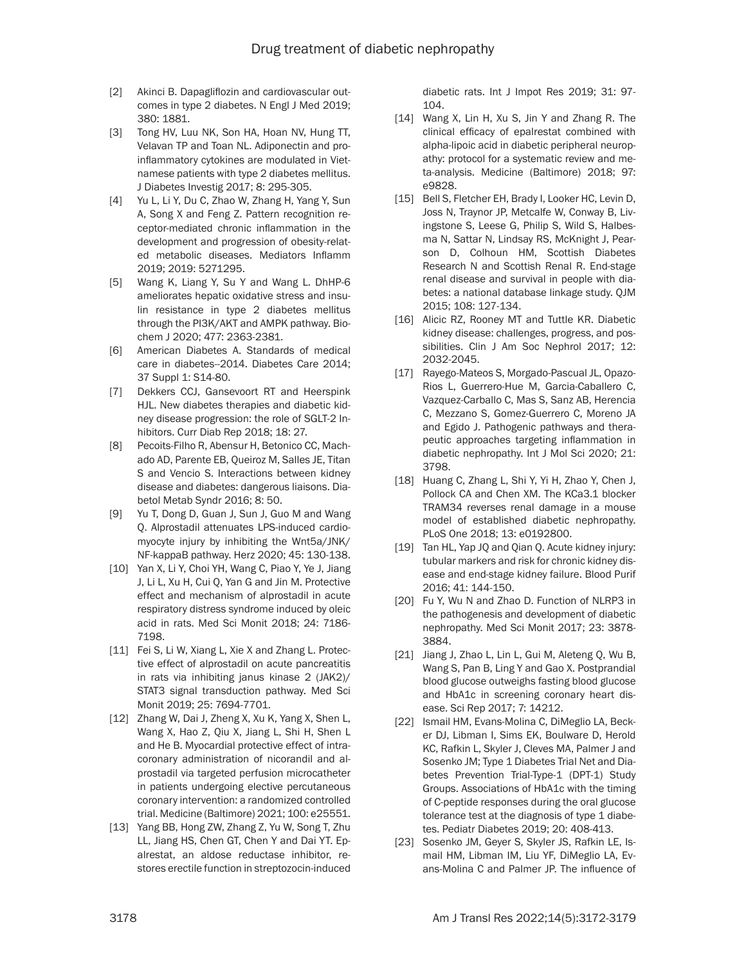- [2] Akinci B. Dapagliflozin and cardiovascular outcomes in type 2 diabetes. N Engl J Med 2019; 380: 1881.
- [3] Tong HV, Luu NK, Son HA, Hoan NV, Hung TT, Velavan TP and Toan NL. Adiponectin and proinflammatory cytokines are modulated in Vietnamese patients with type 2 diabetes mellitus. J Diabetes Investig 2017; 8: 295-305.
- [4] Yu L, Li Y, Du C, Zhao W, Zhang H, Yang Y, Sun A, Song X and Feng Z. Pattern recognition receptor-mediated chronic inflammation in the development and progression of obesity-related metabolic diseases. Mediators Inflamm 2019; 2019: 5271295.
- [5] Wang K, Liang Y, Su Y and Wang L. DhHP-6 ameliorates hepatic oxidative stress and insulin resistance in type 2 diabetes mellitus through the PI3K/AKT and AMPK pathway. Biochem J 2020; 477: 2363-2381.
- [6] American Diabetes A. Standards of medical care in diabetes--2014. Diabetes Care 2014; 37 Suppl 1: S14-80.
- [7] Dekkers CCJ, Gansevoort RT and Heerspink HJL. New diabetes therapies and diabetic kidney disease progression: the role of SGLT-2 Inhibitors. Curr Diab Rep 2018; 18: 27.
- [8] Pecoits-Filho R, Abensur H, Betonico CC, Machado AD, Parente EB, Queiroz M, Salles JE, Titan S and Vencio S. Interactions between kidney disease and diabetes: dangerous liaisons. Diabetol Metab Syndr 2016; 8: 50.
- [9] Yu T, Dong D, Guan J, Sun J, Guo M and Wang Q. Alprostadil attenuates LPS-induced cardiomyocyte injury by inhibiting the Wnt5a/JNK/ NF-kappaB pathway. Herz 2020; 45: 130-138.
- [10] Yan X, Li Y, Choi YH, Wang C, Piao Y, Ye J, Jiang J, Li L, Xu H, Cui Q, Yan G and Jin M. Protective effect and mechanism of alprostadil in acute respiratory distress syndrome induced by oleic acid in rats. Med Sci Monit 2018; 24: 7186- 7198.
- [11] Fei S, Li W, Xiang L, Xie X and Zhang L. Protective effect of alprostadil on acute pancreatitis in rats via inhibiting janus kinase 2 (JAK2)/ STAT3 signal transduction pathway. Med Sci Monit 2019; 25: 7694-7701.
- [12] Zhang W, Dai J, Zheng X, Xu K, Yang X, Shen L, Wang X, Hao Z, Qiu X, Jiang L, Shi H, Shen L and He B. Myocardial protective effect of intracoronary administration of nicorandil and alprostadil via targeted perfusion microcatheter in patients undergoing elective percutaneous coronary intervention: a randomized controlled trial. Medicine (Baltimore) 2021; 100: e25551.
- [13] Yang BB, Hong ZW, Zhang Z, Yu W, Song T, Zhu LL, Jiang HS, Chen GT, Chen Y and Dai YT. Epalrestat, an aldose reductase inhibitor, restores erectile function in streptozocin-induced

diabetic rats. Int J Impot Res 2019; 31: 97- 104.

- [14] Wang X, Lin H, Xu S, Jin Y and Zhang R. The clinical efficacy of epalrestat combined with alpha-lipoic acid in diabetic peripheral neuropathy: protocol for a systematic review and meta-analysis. Medicine (Baltimore) 2018; 97: e9828.
- [15] Bell S, Fletcher EH, Brady I, Looker HC, Levin D, Joss N, Traynor JP, Metcalfe W, Conway B, Livingstone S, Leese G, Philip S, Wild S, Halbesma N, Sattar N, Lindsay RS, McKnight J, Pearson D, Colhoun HM, Scottish Diabetes Research N and Scottish Renal R. End-stage renal disease and survival in people with diabetes: a national database linkage study. QJM 2015; 108: 127-134.
- [16] Alicic RZ, Rooney MT and Tuttle KR. Diabetic kidney disease: challenges, progress, and possibilities. Clin J Am Soc Nephrol 2017; 12: 2032-2045.
- [17] Rayego-Mateos S, Morgado-Pascual JL, Opazo-Rios L, Guerrero-Hue M, Garcia-Caballero C, Vazquez-Carballo C, Mas S, Sanz AB, Herencia C, Mezzano S, Gomez-Guerrero C, Moreno JA and Egido J. Pathogenic pathways and therapeutic approaches targeting inflammation in diabetic nephropathy. Int J Mol Sci 2020; 21: 3798.
- [18] Huang C, Zhang L, Shi Y, Yi H, Zhao Y, Chen J, Pollock CA and Chen XM. The KCa3.1 blocker TRAM34 reverses renal damage in a mouse model of established diabetic nephropathy. PLoS One 2018; 13: e0192800.
- [19] Tan HL, Yap JQ and Qian Q. Acute kidney injury: tubular markers and risk for chronic kidney disease and end-stage kidney failure. Blood Purif 2016; 41: 144-150.
- [20] Fu Y, Wu N and Zhao D. Function of NLRP3 in the pathogenesis and development of diabetic nephropathy. Med Sci Monit 2017; 23: 3878- 3884.
- [21] Jiang J, Zhao L, Lin L, Gui M, Aleteng Q, Wu B, Wang S, Pan B, Ling Y and Gao X. Postprandial blood glucose outweighs fasting blood glucose and HbA1c in screening coronary heart disease. Sci Rep 2017; 7: 14212.
- [22] Ismail HM, Evans-Molina C, DiMeglio LA, Becker DJ, Libman I, Sims EK, Boulware D, Herold KC, Rafkin L, Skyler J, Cleves MA, Palmer J and Sosenko JM; Type 1 Diabetes Trial Net and Diabetes Prevention Trial-Type-1 (DPT-1) Study Groups. Associations of HbA1c with the timing of C-peptide responses during the oral glucose tolerance test at the diagnosis of type 1 diabetes. Pediatr Diabetes 2019; 20: 408-413.
- [23] Sosenko JM, Geyer S, Skyler JS, Rafkin LE, Ismail HM, Libman IM, Liu YF, DiMeglio LA, Evans-Molina C and Palmer JP. The influence of